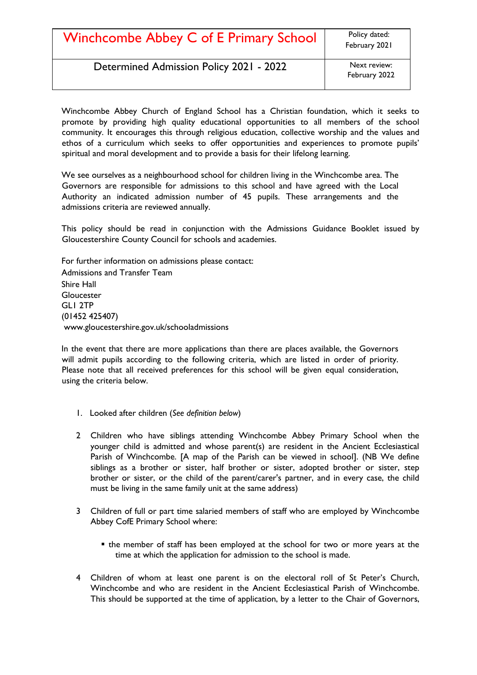| Winchcombe Abbey C of E Primary School  | Policy dated:<br>February 2021 |
|-----------------------------------------|--------------------------------|
| Determined Admission Policy 2021 - 2022 | Next review:<br>February 2022  |

Winchcombe Abbey Church of England School has a Christian foundation, which it seeks to promote by providing high quality educational opportunities to all members of the school community. It encourages this through religious education, collective worship and the values and ethos of a curriculum which seeks to offer opportunities and experiences to promote pupils' spiritual and moral development and to provide a basis for their lifelong learning.

We see ourselves as a neighbourhood school for children living in the Winchcombe area. The Governors are responsible for admissions to this school and have agreed with the Local Authority an indicated admission number of 45 pupils. These arrangements and the admissions criteria are reviewed annually.

This policy should be read in conjunction with the Admissions Guidance Booklet issued by Gloucestershire County Council for schools and academies.

For further information on admissions please contact: Admissions and Transfer Team Shire Hall **Gloucester** GL1 2TP (01452 425407) [www.gloucestershire.gov.uk/schooladmissions](http://www.gloucestershire.gov.uk/schooladmissions) 

In the event that there are more applications than there are places available, the Governors will admit pupils according to the following criteria, which are listed in order of priority. Please note that all received preferences for this school will be given equal consideration, using the criteria below.

- 1. Looked after children (*See definition below*)
- 2 Children who have siblings attending Winchcombe Abbey Primary School when the younger child is admitted and whose parent(s) are resident in the Ancient Ecclesiastical Parish of Winchcombe. [A map of the Parish can be viewed in school]. (NB We define siblings as a brother or sister, half brother or sister, adopted brother or sister, step brother or sister, or the child of the parent/carer's partner, and in every case, the child must be living in the same family unit at the same address)
- 3 Children of full or part time salaried members of staff who are employed by Winchcombe Abbey CofE Primary School where:
	- the member of staff has been employed at the school for two or more years at the time at which the application for admission to the school is made.
- 4 Children of whom at least one parent is on the electoral roll of St Peter's Church, Winchcombe and who are resident in the Ancient Ecclesiastical Parish of Winchcombe. This should be supported at the time of application, by a letter to the Chair of Governors,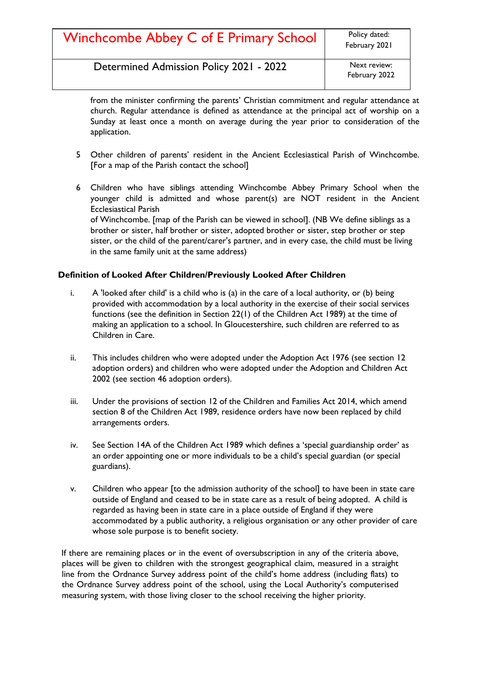| Winchcombe Abbey C of E Primary School | Policy dated: |
|----------------------------------------|---------------|
|                                        | February 202  |

Determined Admission Policy 2021 - 2022 Next review:

from the minister confirming the parents' Christian commitment and regular attendance at church. Regular attendance is defined as attendance at the principal act of worship on a Sunday at least once a month on average during the year prior to consideration of the application.

- 5 Other children of parents' resident in the Ancient Ecclesiastical Parish of Winchcombe. [For a map of the Parish contact the school]
- 6 Children who have siblings attending Winchcombe Abbey Primary School when the younger child is admitted and whose parent(s) are NOT resident in the Ancient Ecclesiastical Parish of Winchcombe. [map of the Parish can be viewed in school]. (NB We define siblings as a brother or sister, half brother or sister, adopted brother or sister, step brother or step sister, or the child of the parent/carer's partner, and in every case, the child must be living in the same family unit at the same address)

# **Definition of Looked After Children/Previously Looked After Children**

- i. A 'looked after child' is a child who is (a) in the care of a local authority, or (b) being provided with accommodation by a local authority in the exercise of their social services functions (see the definition in Section 22(1) of the Children Act 1989) at the time of making an application to a school. In Gloucestershire, such children are referred to as Children in Care.
- ii. This includes children who were adopted under the Adoption Act 1976 (see section 12 adoption orders) and children who were adopted under the Adoption and Children Act 2002 (see section 46 adoption orders).
- iii. Under the provisions of section 12 of the Children and Families Act 2014, which amend section 8 of the Children Act 1989, residence orders have now been replaced by child arrangements orders.
- iv. See Section 14A of the Children Act 1989 which defines a 'special guardianship order' as an order appointing one or more individuals to be a child's special guardian (or special guardians).
- v. Children who appear [to the admission authority of the school] to have been in state care outside of England and ceased to be in state care as a result of being adopted. A child is regarded as having been in state care in a place outside of England if they were accommodated by a public authority, a religious organisation or any other provider of care whose sole purpose is to benefit society.

If there are remaining places or in the event of oversubscription in any of the criteria above, places will be given to children with the strongest geographical claim, measured in a straight line from the Ordnance Survey address point of the child's home address (including flats) to the Ordnance Survey address point of the school, using the Local Authority's computerised measuring system, with those living closer to the school receiving the higher priority.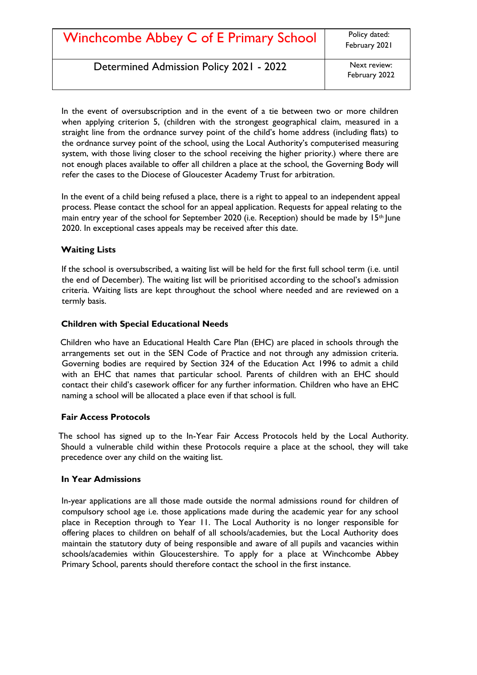# Winchcombe Abbey C of E Primary School Policy dated:

Determined Admission Policy 2021 - 2022 Next review:

In the event of oversubscription and in the event of a tie between two or more children when applying criterion 5, (children with the strongest geographical claim, measured in a straight line from the ordnance survey point of the child's home address (including flats) to the ordnance survey point of the school, using the Local Authority's computerised measuring system, with those living closer to the school receiving the higher priority.) where there are not enough places available to offer all children a place at the school, the Governing Body will refer the cases to the Diocese of Gloucester Academy Trust for arbitration.

In the event of a child being refused a place, there is a right to appeal to an independent appeal process. Please contact the school for an appeal application. Requests for appeal relating to the main entry year of the school for September 2020 (i.e. Reception) should be made by  $15<sup>th</sup>$  June 2020. In exceptional cases appeals may be received after this date.

#### **Waiting Lists**

If the school is oversubscribed, a waiting list will be held for the first full school term (i.e. until the end of December). The waiting list will be prioritised according to the school's admission criteria. Waiting lists are kept throughout the school where needed and are reviewed on a termly basis.

#### **Children with Special Educational Needs**

Children who have an Educational Health Care Plan (EHC) are placed in schools through the arrangements set out in the SEN Code of Practice and not through any admission criteria. Governing bodies are required by Section 324 of the Education Act 1996 to admit a child with an EHC that names that particular school. Parents of children with an EHC should contact their child's casework officer for any further information. Children who have an EHC naming a school will be allocated a place even if that school is full.

#### **Fair Access Protocols**

The school has signed up to the In-Year Fair Access Protocols held by the Local Authority. Should a vulnerable child within these Protocols require a place at the school, they will take precedence over any child on the waiting list.

#### **In Year Admissions**

In-year applications are all those made outside the normal admissions round for children of compulsory school age i.e. those applications made during the academic year for any school place in Reception through to Year 11. The Local Authority is no longer responsible for offering places to children on behalf of all schools/academies, but the Local Authority does maintain the statutory duty of being responsible and aware of all pupils and vacancies within schools/academies within Gloucestershire. To apply for a place at Winchcombe Abbey Primary School, parents should therefore contact the school in the first instance.